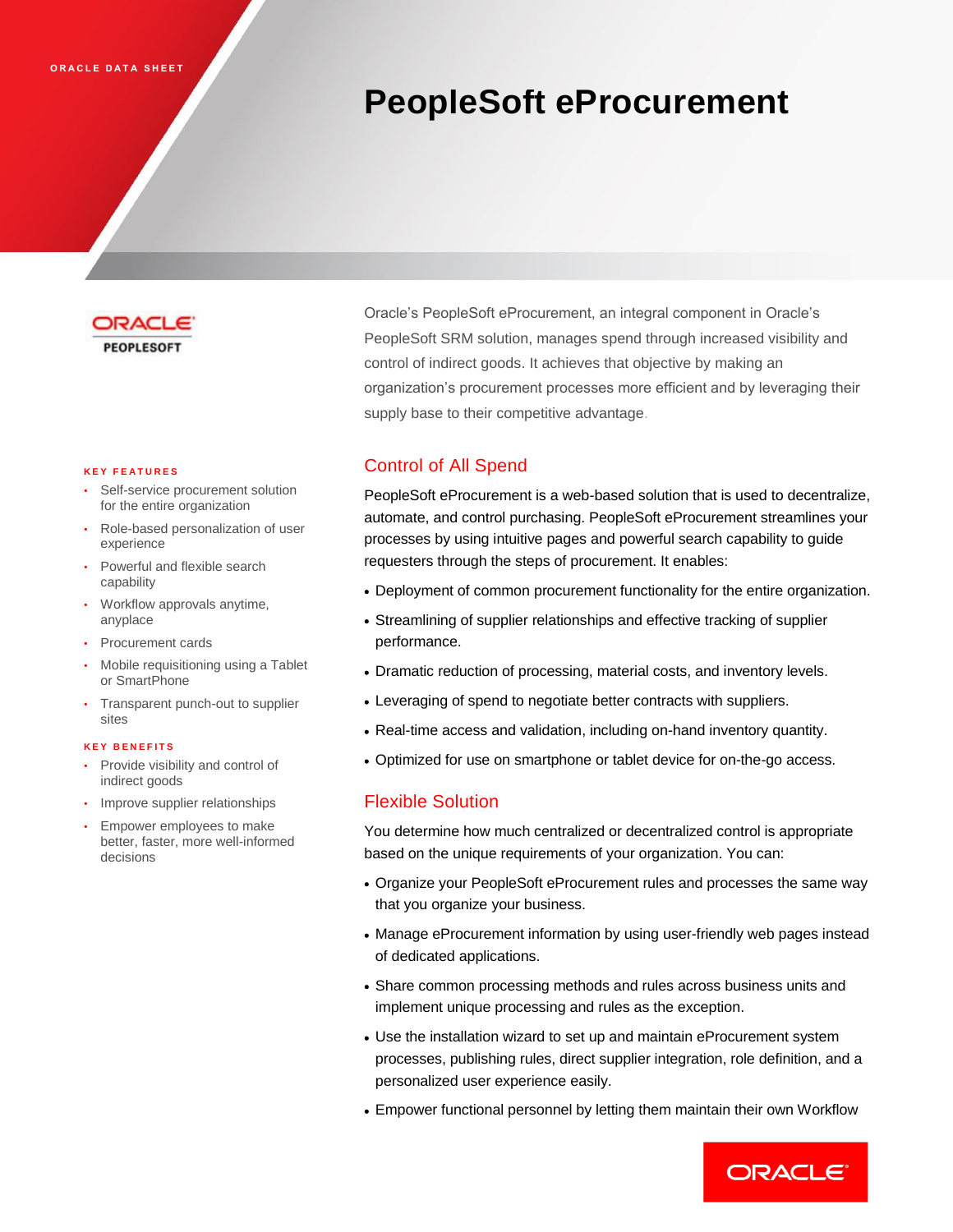# **PeopleSoft eProcurement**



#### **K E Y F E A T U R E S**

- Self-service procurement solution for the entire organization
- Role-based personalization of user experience
- Powerful and flexible search capability
- Workflow approvals anytime, anyplace
- Procurement cards
- Mobile requisitioning using a Tablet or SmartPhone
- Transparent punch-out to supplier sites

#### **K E Y B E N E F I T S**

- Provide visibility and control of indirect goods
- Improve supplier relationships
- Empower employees to make better, faster, more well-informed decisions

Oracle's PeopleSoft eProcurement, an integral component in Oracle's PeopleSoft SRM solution, manages spend through increased visibility and control of indirect goods. It achieves that objective by making an organization's procurement processes more efficient and by leveraging their supply base to their competitive advantage.

# Control of All Spend

PeopleSoft eProcurement is a web-based solution that is used to decentralize, automate, and control purchasing. PeopleSoft eProcurement streamlines your processes by using intuitive pages and powerful search capability to guide requesters through the steps of procurement. It enables:

- Deployment of common procurement functionality for the entire organization.
- Streamlining of supplier relationships and effective tracking of supplier performance.
- Dramatic reduction of processing, material costs, and inventory levels.
- Leveraging of spend to negotiate better contracts with suppliers.
- Real-time access and validation, including on-hand inventory quantity.
- Optimized for use on smartphone or tablet device for on-the-go access.

## Flexible Solution

You determine how much centralized or decentralized control is appropriate based on the unique requirements of your organization. You can:

- Organize your PeopleSoft eProcurement rules and processes the same way that you organize your business.
- Manage eProcurement information by using user-friendly web pages instead of dedicated applications.
- Share common processing methods and rules across business units and implement unique processing and rules as the exception.
- Use the installation wizard to set up and maintain eProcurement system processes, publishing rules, direct supplier integration, role definition, and a personalized user experience easily.
- Empower functional personnel by letting them maintain their own Workflow

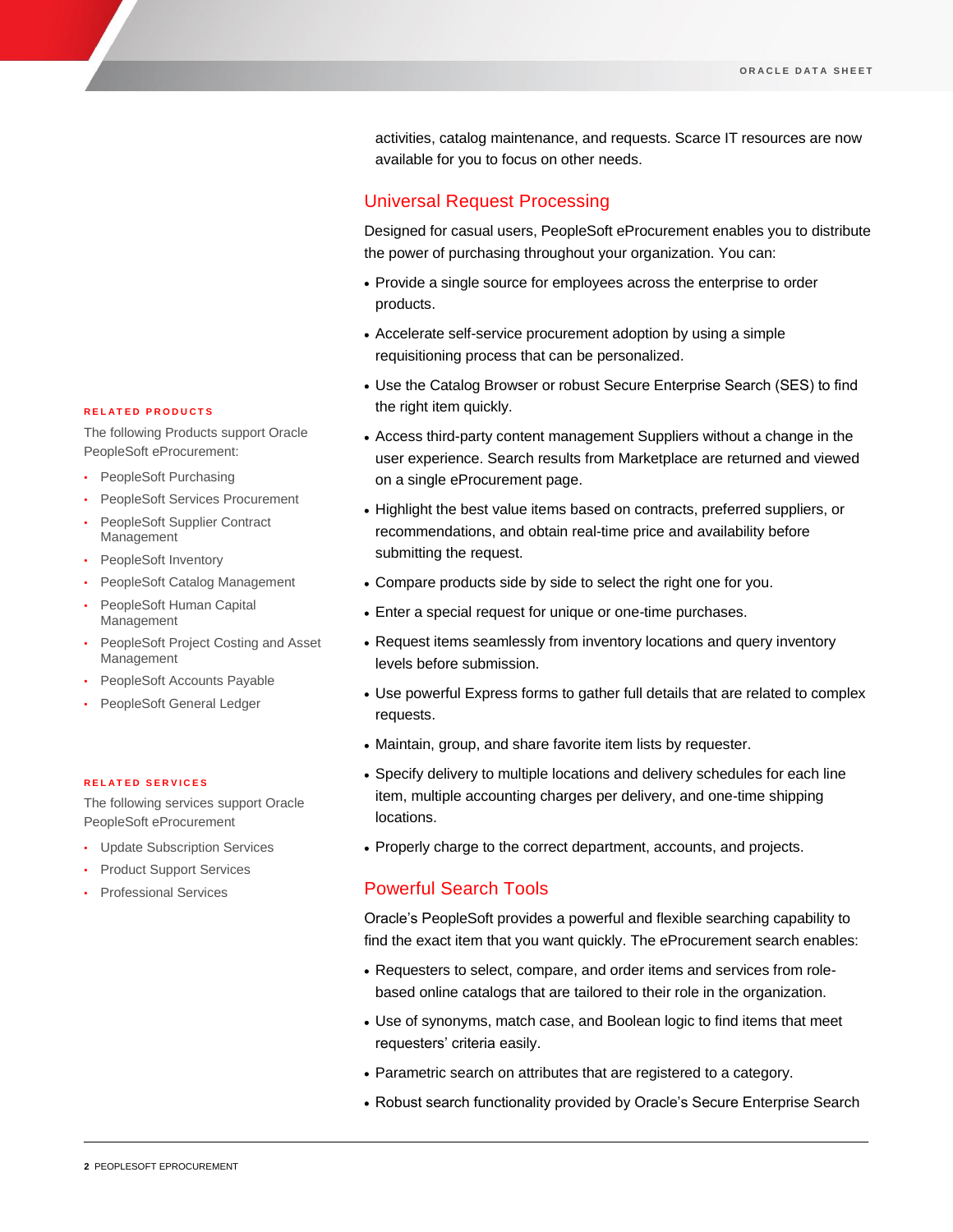activities, catalog maintenance, and requests. Scarce IT resources are now available for you to focus on other needs.

## Universal Request Processing

Designed for casual users, PeopleSoft eProcurement enables you to distribute the power of purchasing throughout your organization. You can:

- Provide a single source for employees across the enterprise to order products.
- Accelerate self-service procurement adoption by using a simple requisitioning process that can be personalized.
- Use the Catalog Browser or robust Secure Enterprise Search (SES) to find the right item quickly.
- Access third-party content management Suppliers without a change in the user experience. Search results from Marketplace are returned and viewed on a single eProcurement page.
- Highlight the best value items based on contracts, preferred suppliers, or recommendations, and obtain real-time price and availability before submitting the request.
- Compare products side by side to select the right one for you.
- Enter a special request for unique or one-time purchases.
- Request items seamlessly from inventory locations and query inventory levels before submission.
- Use powerful Express forms to gather full details that are related to complex requests.
- Maintain, group, and share favorite item lists by requester.
- Specify delivery to multiple locations and delivery schedules for each line item, multiple accounting charges per delivery, and one-time shipping locations.
- Properly charge to the correct department, accounts, and projects.

## Powerful Search Tools

Oracle's PeopleSoft provides a powerful and flexible searching capability to find the exact item that you want quickly. The eProcurement search enables:

- Requesters to select, compare, and order items and services from rolebased online catalogs that are tailored to their role in the organization.
- Use of synonyms, match case, and Boolean logic to find items that meet requesters' criteria easily.
- Parametric search on attributes that are registered to a category.
- Robust search functionality provided by Oracle's Secure Enterprise Search

#### **R E L A T E D P R O D U C T S**

The following Products support Oracle PeopleSoft eProcurement:

- PeopleSoft Purchasing
- PeopleSoft Services Procurement
- PeopleSoft Supplier Contract Management
- PeopleSoft Inventory
- PeopleSoft Catalog Management
- PeopleSoft Human Capital Management
- PeopleSoft Project Costing and Asset Management
- PeopleSoft Accounts Payable
- PeopleSoft General Ledger

#### **R E L A T E D S E R V I C E S**

The following services support Oracle PeopleSoft eProcurement

- Update Subscription Services
- Product Support Services
- Professional Services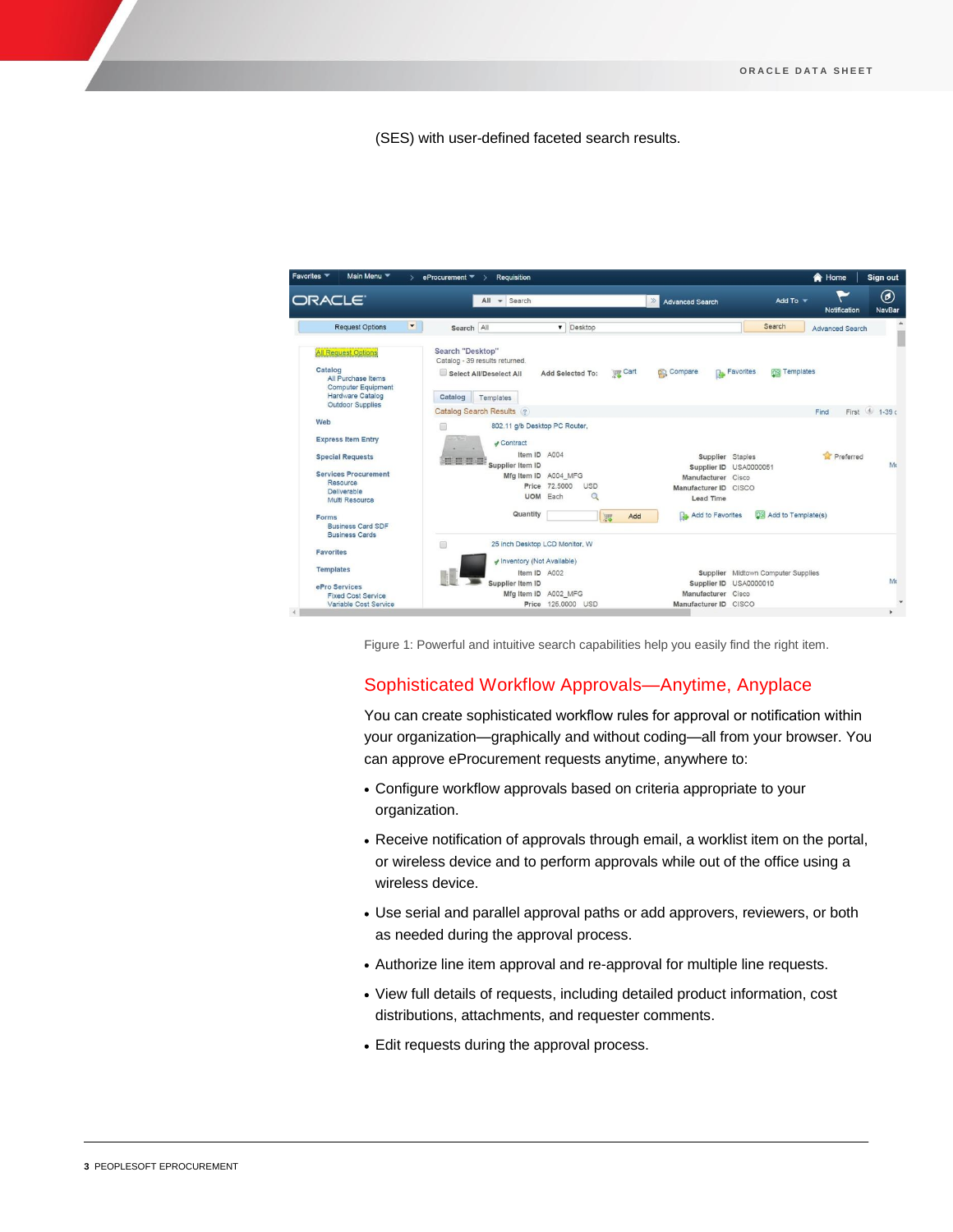(SES) with user-defined faceted search results.



Figure 1: Powerful and intuitive search capabilities help you easily find the right item.

# Sophisticated Workflow Approvals—Anytime, Anyplace

You can create sophisticated workflow rules for approval or notification within your organization—graphically and without coding—all from your browser. You can approve eProcurement requests anytime, anywhere to:

- Configure workflow approvals based on criteria appropriate to your organization.
- Receive notification of approvals through email, a worklist item on the portal, or wireless device and to perform approvals while out of the office using a wireless device.
- Use serial and parallel approval paths or add approvers, reviewers, or both as needed during the approval process.
- Authorize line item approval and re-approval for multiple line requests.
- View full details of requests, including detailed product information, cost distributions, attachments, and requester comments.
- Edit requests during the approval process.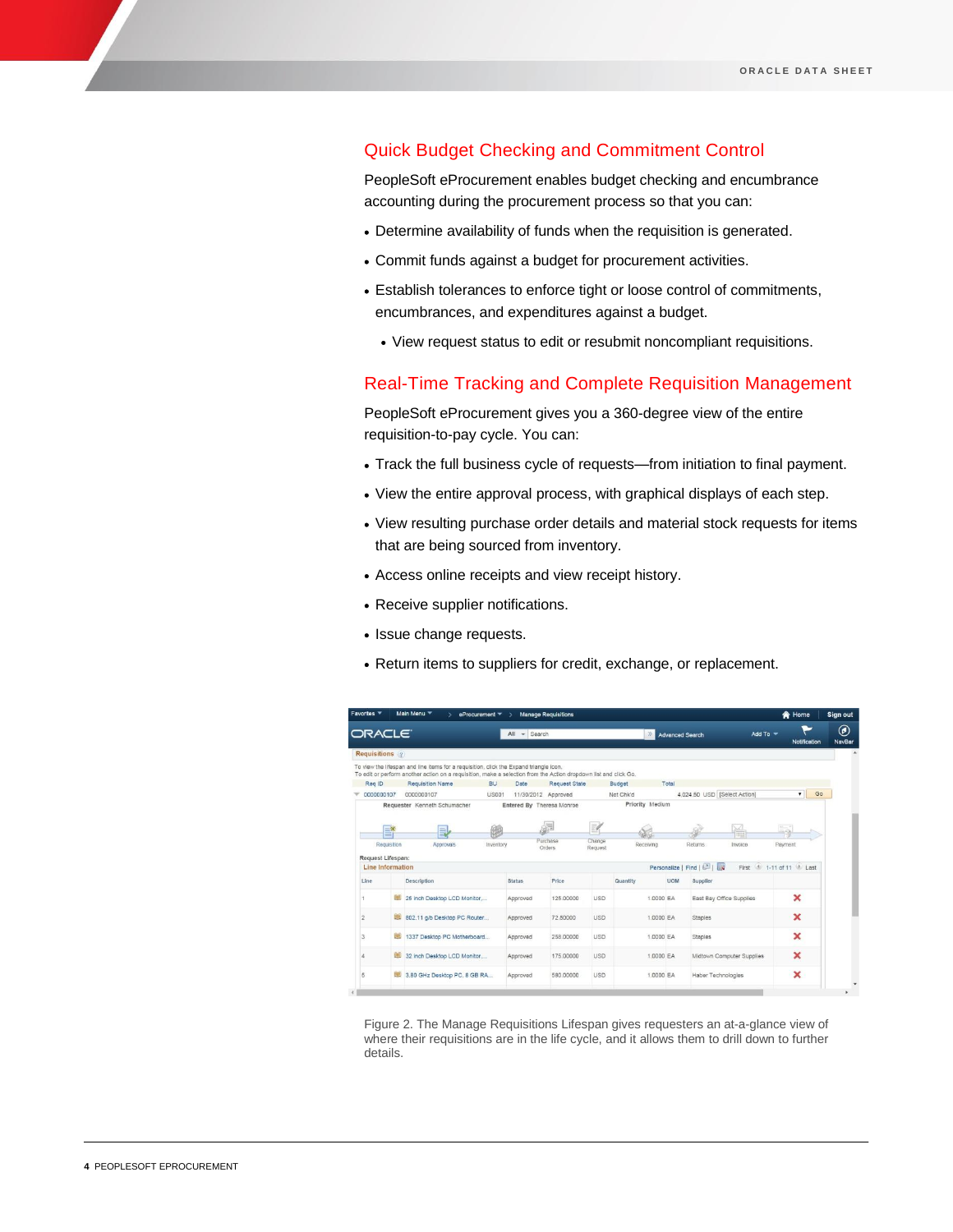# Quick Budget Checking and Commitment Control

PeopleSoft eProcurement enables budget checking and encumbrance accounting during the procurement process so that you can:

- Determine availability of funds when the requisition is generated.
- Commit funds against a budget for procurement activities.
- Establish tolerances to enforce tight or loose control of commitments, encumbrances, and expenditures against a budget.
	- View request status to edit or resubmit noncompliant requisitions.

## Real-Time Tracking and Complete Requisition Management

PeopleSoft eProcurement gives you a 360-degree view of the entire requisition-to-pay cycle. You can:

- Track the full business cycle of requests—from initiation to final payment.
- View the entire approval process, with graphical displays of each step.
- View resulting purchase order details and material stock requests for items that are being sourced from inventory.
- Access online receipts and view receipt history.
- Receive supplier notifications.
- Issue change requests.
- Return items to suppliers for credit, exchange, or replacement.

| <b>ORACLE</b>                                |                         | Main Menu                                                                                                                                                                                                  | eProcurement = | $\sim$ Search<br>All | <b>Manage Requisitions</b> |                   | $\gg$     | <b>Advanced Search</b> |                                   |                           | Add To $\sqrt{}$ |                                      | <b>A</b> Home<br>Notification | Sign out<br>◉<br><b>NavBar</b> |
|----------------------------------------------|-------------------------|------------------------------------------------------------------------------------------------------------------------------------------------------------------------------------------------------------|----------------|----------------------|----------------------------|-------------------|-----------|------------------------|-----------------------------------|---------------------------|------------------|--------------------------------------|-------------------------------|--------------------------------|
| Requisitions ?                               |                         |                                                                                                                                                                                                            |                |                      |                            |                   |           |                        |                                   |                           |                  |                                      |                               |                                |
|                                              |                         | To view the lifespan and line items for a requisition, click the Expand triangle icon,<br>To edit or perform another action on a requisition, make a selection from the Action dropdown list and click Go. |                |                      |                            |                   |           |                        |                                   |                           |                  |                                      |                               |                                |
| Reg ID                                       |                         | <b>Requisition Name</b>                                                                                                                                                                                    | <b>BU</b>      | Date                 | <b>Request State</b>       | <b>Budget</b>     |           | Total                  |                                   |                           |                  |                                      |                               |                                |
| 0000000107                                   |                         | 0000000107                                                                                                                                                                                                 | <b>US001</b>   |                      | 11/30/2012 Approved        | Not Chk'd         |           |                        | 4,024.50 USD [Select Action]      |                           |                  |                                      | $\mathbf{v}$                  | Go                             |
|                                              |                         |                                                                                                                                                                                                            | 甑              |                      | ė                          | W)                | 96        |                        |                                   | ΩZ                        |                  | Eg                                   |                               |                                |
| Request Lifespan:<br><b>Line Information</b> | $\equiv$<br>Requisition | 員<br>Approvals                                                                                                                                                                                             | Inventory      |                      | Purchase<br>Orders         | Change<br>Request | Receiving |                        | Returns<br>Personalize   Find   2 | Invoice                   |                  | Payment<br>First 4 1-11 of 11 2 Last |                               |                                |
| Line                                         |                         | Description                                                                                                                                                                                                |                | Status               | Price                      | Quantity          |           | <b>UOM</b>             | Supplier                          |                           |                  |                                      |                               |                                |
|                                              |                         | 25 inch Desktop LCD Monitor                                                                                                                                                                                |                | Approved             | 125,00000                  | <b>USD</b>        | 1,0000 EA |                        |                                   | East Bay Office Supplies  |                  |                                      | ×                             |                                |
| $\overline{c}$                               | 现                       | 802.11 g/b Desktop PC Router                                                                                                                                                                               |                | Approved             | 72,50000                   | USD               | 1,0000 EA |                        | <b>Staples</b>                    |                           |                  |                                      | $\mathbf x$                   |                                |
| 3                                            | 里                       | 1337 Desktop PC Motherboard                                                                                                                                                                                |                | Approved             | 258,00000                  | <b>USD</b>        | 1,0000 EA |                        | <b>Staples</b>                    |                           |                  |                                      | $\overline{\mathbf{x}}$       |                                |
| $\Delta$                                     | 腿                       | 32 inch Desktop LCD Monitor                                                                                                                                                                                |                | Approved             | 175,00000                  | <b>USD</b>        | 1,0000 EA |                        |                                   | Midtown Computer Supplies |                  |                                      | $\mathbf x$                   |                                |

Figure 2. The Manage Requisitions Lifespan gives requesters an at-a-glance view of where their requisitions are in the life cycle, and it allows them to drill down to further details.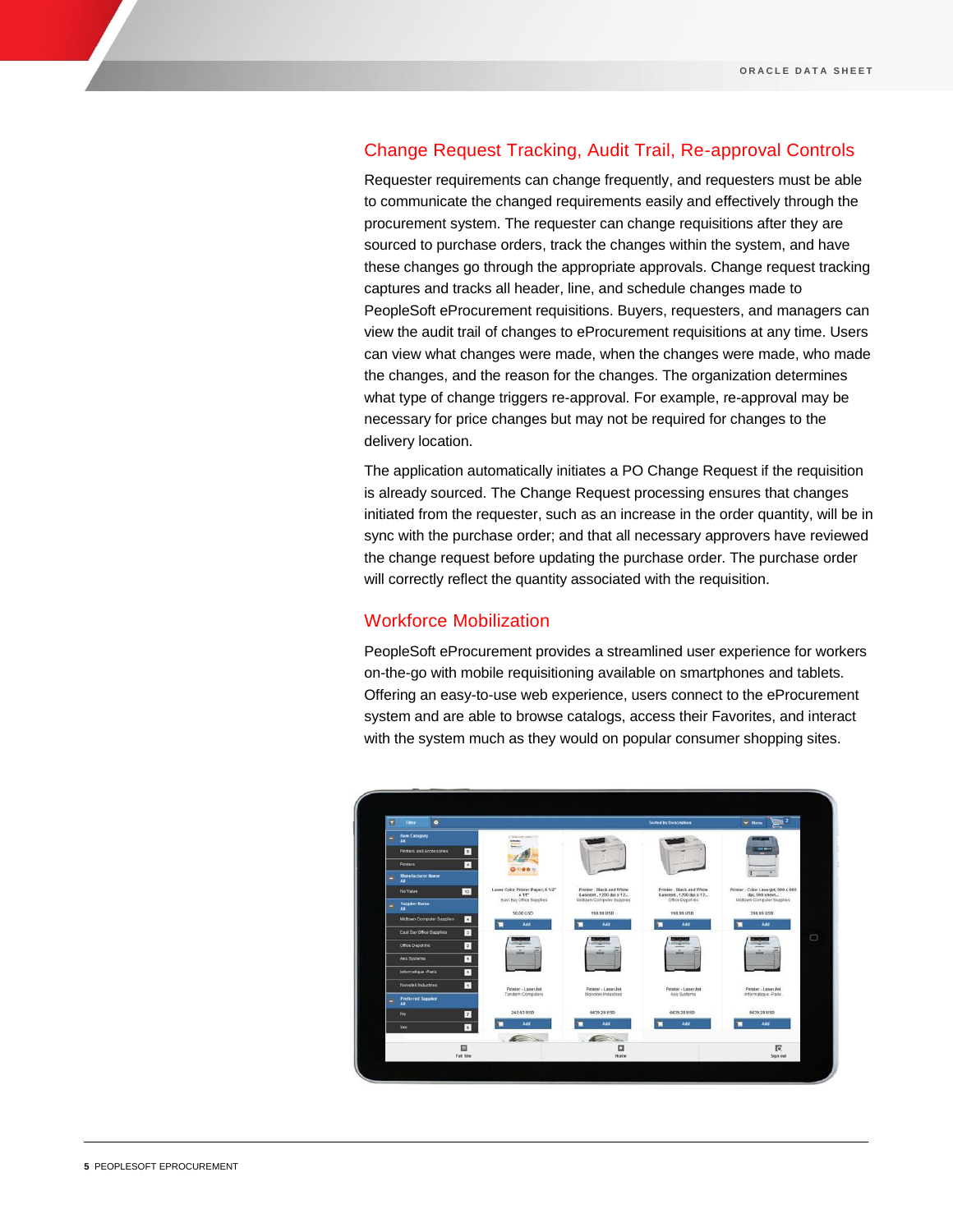# Change Request Tracking, Audit Trail, Re-approval Controls

Requester requirements can change frequently, and requesters must be able to communicate the changed requirements easily and effectively through the procurement system. The requester can change requisitions after they are sourced to purchase orders, track the changes within the system, and have these changes go through the appropriate approvals. Change request tracking captures and tracks all header, line, and schedule changes made to PeopleSoft eProcurement requisitions. Buyers, requesters, and managers can view the audit trail of changes to eProcurement requisitions at any time. Users can view what changes were made, when the changes were made, who made the changes, and the reason for the changes. The organization determines what type of change triggers re-approval. For example, re-approval may be necessary for price changes but may not be required for changes to the delivery location.

The application automatically initiates a PO Change Request if the requisition is already sourced. The Change Request processing ensures that changes initiated from the requester, such as an increase in the order quantity, will be in sync with the purchase order; and that all necessary approvers have reviewed the change request before updating the purchase order. The purchase order will correctly reflect the quantity associated with the requisition.

### Workforce Mobilization

PeopleSoft eProcurement provides a streamlined user experience for workers on-the-go with mobile requisitioning available on smartphones and tablets. Offering an easy-to-use web experience, users connect to the eProcurement system and are able to browse catalogs, access their Favorites, and interact with the system much as they would on popular consumer shopping sites.

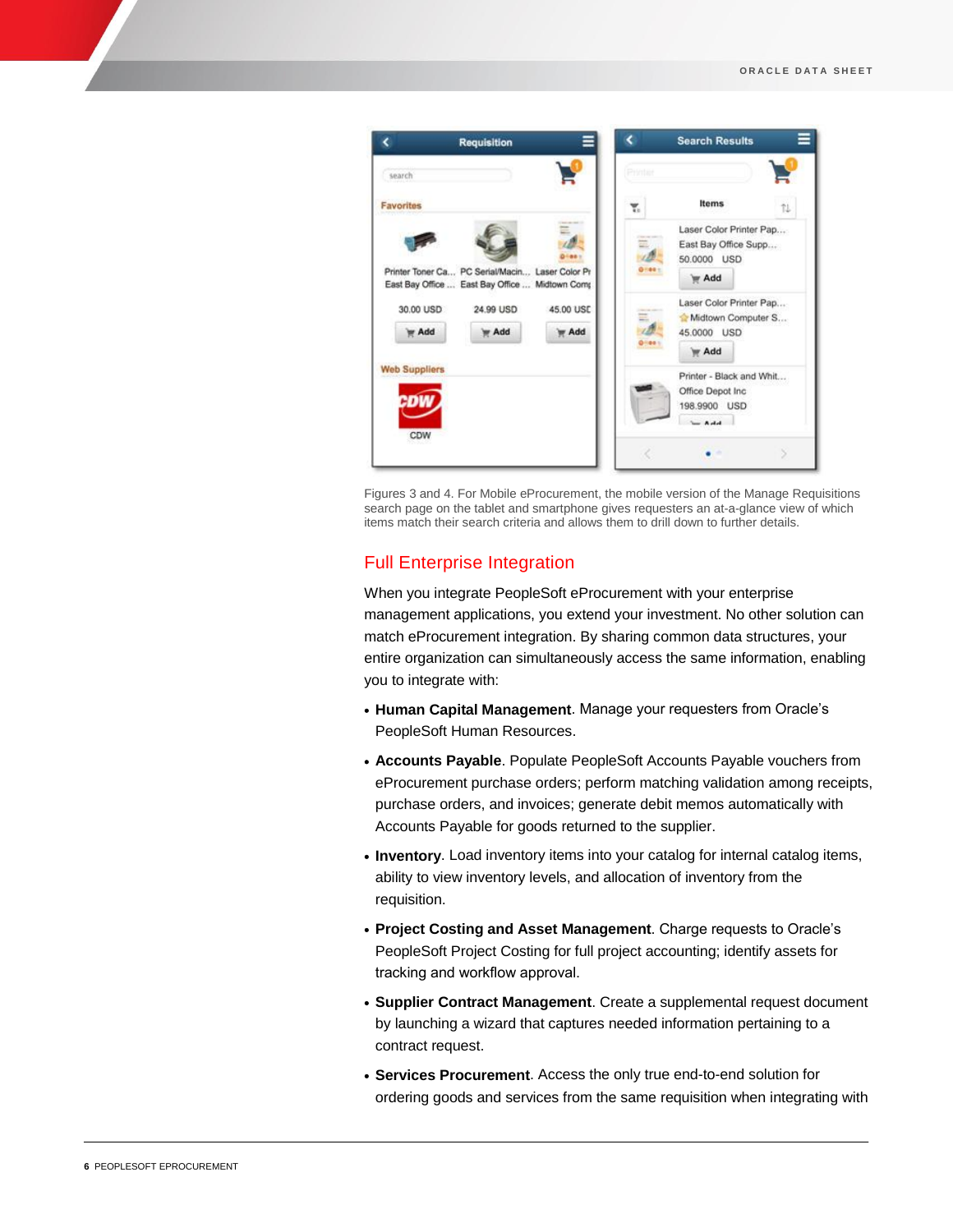

Figures 3 and 4. For Mobile eProcurement, the mobile version of the Manage Requisitions search page on the tablet and smartphone gives requesters an at-a-glance view of which items match their search criteria and allows them to drill down to further details.

# Full Enterprise Integration

When you integrate PeopleSoft eProcurement with your enterprise management applications, you extend your investment. No other solution can match eProcurement integration. By sharing common data structures, your entire organization can simultaneously access the same information, enabling you to integrate with:

- **Human Capital Management**. Manage your requesters from Oracle's PeopleSoft Human Resources.
- **Accounts Payable**. Populate PeopleSoft Accounts Payable vouchers from eProcurement purchase orders; perform matching validation among receipts, purchase orders, and invoices; generate debit memos automatically with Accounts Payable for goods returned to the supplier.
- **Inventory**. Load inventory items into your catalog for internal catalog items, ability to view inventory levels, and allocation of inventory from the requisition.
- **Project Costing and Asset Management**. Charge requests to Oracle's PeopleSoft Project Costing for full project accounting; identify assets for tracking and workflow approval.
- **Supplier Contract Management**. Create a supplemental request document by launching a wizard that captures needed information pertaining to a contract request.
- **Services Procurement**. Access the only true end-to-end solution for ordering goods and services from the same requisition when integrating with